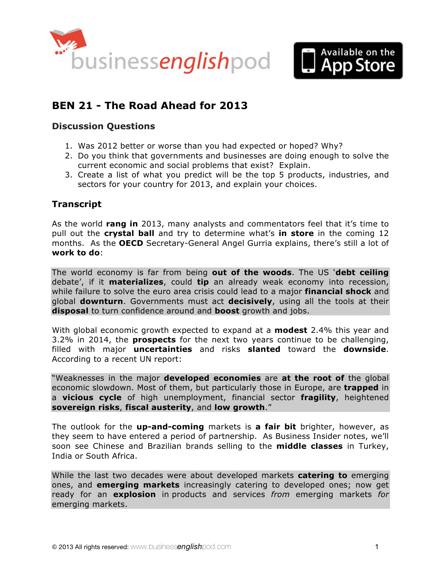



# **BEN 21 - [The Road Ahead for 2013](http://www.businessenglishpod.com/2013/01/20/ben-21-business-trends-for-2013/)**

### **Discussion Questions**

- 1. Was 2012 better or worse than you had expected or hoped? Why?
- 2. Do you think that governments and businesses are doing enough to solve the current economic and social problems that exist? Explain.
- 3. Create a list of what you predict will be the top 5 products, industries, and sectors for your country for 2013, and explain your choices.

### **Transcript**

As the world **rang in** 2013, many analysts and commentators feel that it's time to pull out the **crystal ball** and try to determine what's **in store** in the coming 12 months. As the **OECD** Secretary-General Angel Gurria explains, there's still a lot of **work to do**:

The world economy is far from being **out of the woods**. The US '**debt ceiling** debate', if it **materializes**, could **tip** an already weak economy into recession, while failure to solve the euro area crisis could lead to a major **financial shock** and global **downturn**. Governments must act **decisively**, using all the tools at their **disposal** to turn confidence around and **boost** growth and jobs.

With global economic growth expected to expand at a **modest** 2.4% this year and 3.2% in 2014, the **prospects** for the next two years continue to be challenging, filled with major **uncertainties** and risks **slanted** toward the **downside**. According to a recent UN report:

"Weaknesses in the major **developed economies** are **at the root of** the global economic slowdown. Most of them, but particularly those in Europe, are **trapped** in a **vicious cycle** of high unemployment, financial sector **fragility**, heightened **sovereign risks**, **fiscal austerity**, and **low growth**."

The outlook for the **up-and-coming** markets is **a fair bit** brighter, however, as they seem to have entered a period of partnership. As Business Insider notes, we'll soon see Chinese and Brazilian brands selling to the **middle classes** in Turkey, India or South Africa.

While the last two decades were about developed markets **catering to** emerging ones, and **emerging markets** increasingly catering to developed ones; now get ready for an **explosion** in products and services *from* emerging markets *for* emerging markets.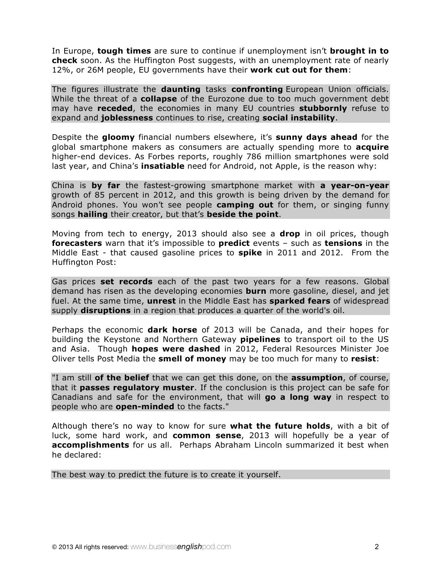In Europe, **tough times** are sure to continue if unemployment isn't **brought in to check** soon. As the Huffington Post suggests, with an unemployment rate of nearly 12%, or 26M people, EU governments have their **work cut out for them**:

The figures illustrate the **daunting** tasks **confronting** European Union officials. While the threat of a **collapse** of the Eurozone due to too much government debt may have **receded**, the economies in many EU countries **stubbornly** refuse to expand and **joblessness** continues to rise, creating **social instability**.

Despite the **gloomy** financial numbers elsewhere, it's **sunny days ahead** for the global smartphone makers as consumers are actually spending more to **acquire** higher-end devices. As Forbes reports, roughly 786 million smartphones were sold last year, and China's **insatiable** need for Android, not Apple, is the reason why:

China is **by far** the fastest-growing smartphone market with **a year-on-year** growth of 85 percent in 2012, and this growth is being driven by the demand for Android phones. You won't see people **camping out** for them, or singing funny songs **hailing** their creator, but that's **beside the point**.

Moving from tech to energy, 2013 should also see a **drop** in oil prices, though **forecasters** warn that it's impossible to **predict** events – such as **tensions** in the Middle East - that caused gasoline prices to **spike** in 2011 and 2012. From the Huffington Post:

Gas prices **set records** each of the past two years for a few reasons. Global demand has risen as the developing economies **burn** more gasoline, diesel, and jet fuel. At the same time, **unrest** in the Middle East has **sparked fears** of widespread supply **disruptions** in a region that produces a quarter of the world's oil.

Perhaps the economic **dark horse** of 2013 will be Canada, and their hopes for building the Keystone and Northern Gateway **pipelines** to transport oil to the US and Asia. Though **hopes were dashed** in 2012, Federal Resources Minister Joe Oliver tells Post Media the **smell of money** may be too much for many to **resist**:

"I am still **of the belief** that we can get this done, on the **assumption**, of course, that it **passes regulatory muster**. If the conclusion is this project can be safe for Canadians and safe for the environment, that will **go a long way** in respect to people who are **open-minded** to the facts."

Although there's no way to know for sure **what the future holds**, with a bit of luck, some hard work, and **common sense**, 2013 will hopefully be a year of **accomplishments** for us all. Perhaps Abraham Lincoln summarized it best when he declared:

The best way to predict the future is to create it yourself.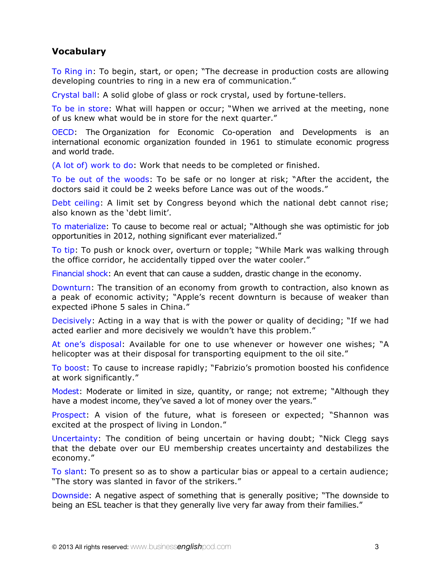# **Vocabulary**

To Ring in: To begin, start, or open; "The decrease in production costs are allowing developing countries to ring in a new era of communication."

Crystal ball: A solid globe of glass or rock crystal, used by fortune-tellers.

To be in store: What will happen or occur; "When we arrived at the meeting, none of us knew what would be in store for the next quarter."

OECD: The Organization for Economic Co-operation and Developments is an international economic organization founded in 1961 to stimulate economic progress and world trade.

(A lot of) work to do: Work that needs to be completed or finished.

To be out of the woods: To be safe or no longer at risk; "After the accident, the doctors said it could be 2 weeks before Lance was out of the woods."

Debt ceiling: A limit set by Congress beyond which the national debt cannot rise; also known as the 'debt limit'.

To materialize: To cause to become real or actual; "Although she was optimistic for job opportunities in 2012, nothing significant ever materialized."

To tip: To push or knock over, overturn or topple; "While Mark was walking through the office corridor, he accidentally tipped over the water cooler."

Financial shock: An event that can cause a sudden, drastic change in the economy.

Downturn: The transition of an economy from growth to contraction, also known as a peak of economic activity; "Apple's recent downturn is because of weaker than expected iPhone 5 sales in China."

Decisively: Acting in a way that is with the power or quality of deciding; "If we had acted earlier and more decisively we wouldn't have this problem."

At one's disposal: Available for one to use whenever or however one wishes; "A helicopter was at their disposal for transporting equipment to the oil site."

To boost: To cause to increase rapidly; "Fabrizio's promotion boosted his confidence at work significantly."

Modest: Moderate or limited in size, quantity, or range; not extreme; "Although they have a modest income, they've saved a lot of money over the years."

Prospect: A vision of the future, what is foreseen or expected; "Shannon was excited at the prospect of living in London."

Uncertainty: The condition of being uncertain or having doubt; "Nick Clegg says that the debate over our EU membership creates uncertainty and destabilizes the economy."

To slant: To present so as to show a particular bias or appeal to a certain audience; "The story was slanted in favor of the strikers."

Downside: A negative aspect of something that is generally positive; "The downside to being an ESL teacher is that they generally live very far away from their families."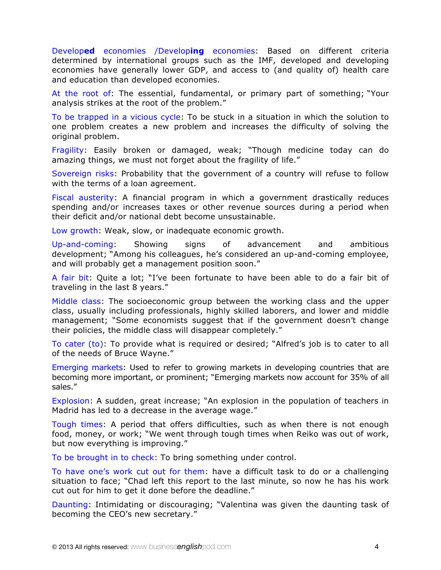Develop**ed** economies /Develop**ing** economies: Based on different criteria determined by international groups such as the IMF, developed and developing economies have generally lower GDP, and access to (and quality of) health care and education than developed economies.

At the root of: The essential, fundamental, or primary part of something; "Your analysis strikes at the root of the problem."

To be trapped in a vicious cycle: To be stuck in a situation in which the solution to one problem creates a new problem and increases the difficulty of solving the original problem.

Fragility: Easily broken or damaged, weak; "Though medicine today can do amazing things, we must not forget about the fragility of life."

Sovereign risks: Probability that the government of a country will refuse to follow with the terms of a loan agreement.

Fiscal austerity: A financial program in which a government drastically reduces spending and/or increases taxes or other revenue sources during a period when their deficit and/or national debt become unsustainable.

Low growth: Weak, slow, or inadequate economic growth.

Up-and-coming: Showing signs of advancement and ambitious development; "Among his colleagues, he's considered an up-and-coming employee, and will probably get a management position soon."

A fair bit: Quite a lot; "I've been fortunate to have been able to do a fair bit of traveling in the last 8 years."

Middle class: The socioeconomic group between the working class and the upper class, usually including professionals, highly skilled laborers, and lower and middle management; "Some economists suggest that if the government doesn't change their policies, the middle class will disappear completely."

To cater (to): To provide what is required or desired; "Alfred's job is to cater to all of the needs of Bruce Wayne."

Emerging markets: Used to refer to growing markets in developing countries that are becoming more important, or prominent; "Emerging markets now account for 35% of all sales."

Explosion: A sudden, great increase; "An explosion in the population of teachers in Madrid has led to a decrease in the average wage."

Tough times: A period that offers difficulties, such as when there is not enough food, money, or work; "We went through tough times when Reiko was out of work, but now everything is improving."

To be brought in to check: To bring something under control.

To have one's work cut out for them: have a difficult task to do or a challenging situation to face; "Chad left this report to the last minute, so now he has his work cut out for him to get it done before the deadline."

Daunting: Intimidating or discouraging; "Valentina was given the daunting task of becoming the CEO's new secretary."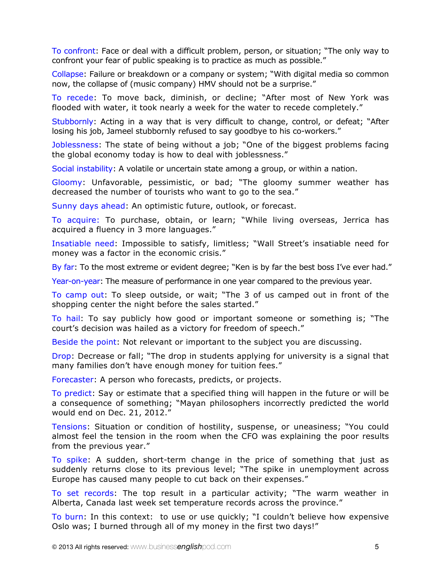To confront: Face or deal with a difficult problem, person, or situation; "The only way to confront your fear of public speaking is to practice as much as possible."

Collapse: Failure or breakdown or a company or system; "With digital media so common now, the collapse of (music company) HMV should not be a surprise."

To recede: To move back, diminish, or decline; "After most of New York was flooded with water, it took nearly a week for the water to recede completely."

Stubbornly: Acting in a way that is very difficult to change, control, or defeat; "After losing his job, Jameel stubbornly refused to say goodbye to his co-workers."

Joblessness: The state of being without a job; "One of the biggest problems facing the global economy today is how to deal with joblessness."

Social instability: A volatile or uncertain state among a group, or within a nation.

Gloomy: Unfavorable, pessimistic, or bad; "The gloomy summer weather has decreased the number of tourists who want to go to the sea."

Sunny days ahead: An optimistic future, outlook, or forecast.

To acquire: To purchase, obtain, or learn; "While living overseas, Jerrica has acquired a fluency in 3 more languages."

Insatiable need: Impossible to satisfy, limitless; "Wall Street's insatiable need for money was a factor in the economic crisis."

By far: To the most extreme or evident degree; "Ken is by far the best boss I've ever had."

Year-on-year: The measure of performance in one year compared to the previous year.

To camp out: To sleep outside, or wait; "The 3 of us camped out in front of the shopping center the night before the sales started."

To hail: To say publicly how good or important someone or something is; "The court's decision was hailed as a victory for freedom of speech."

Beside the point: Not relevant or important to the subject you are discussing.

Drop: Decrease or fall; "The drop in students applying for university is a signal that many families don't have enough money for tuition fees."

Forecaster: A person who forecasts, predicts, or projects.

To predict: Say or estimate that a specified thing will happen in the future or will be a consequence of something; "Mayan philosophers incorrectly predicted the world would end on Dec. 21, 2012."

Tensions: Situation or condition of hostility, suspense, or uneasiness; "You could almost feel the tension in the room when the CFO was explaining the poor results from the previous year."

To spike: A sudden, short-term change in the price of something that just as suddenly returns close to its previous level; "The spike in unemployment across Europe has caused many people to cut back on their expenses."

To set records: The top result in a particular activity; "The warm weather in Alberta, Canada last week set temperature records across the province."

To burn: In this context: to use or use quickly; "I couldn't believe how expensive Oslo was; I burned through all of my money in the first two days!"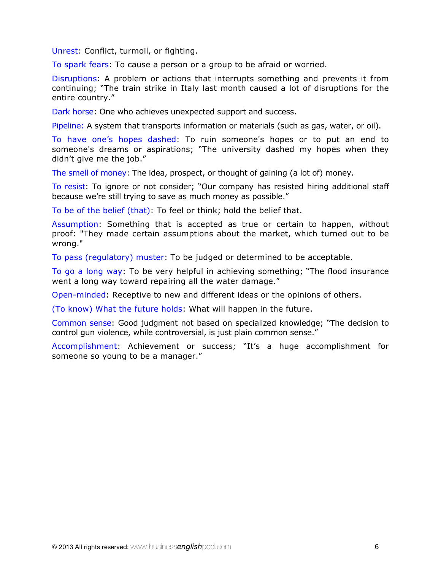Unrest: Conflict, turmoil, or fighting.

To spark fears: To cause a person or a group to be afraid or worried.

Disruptions: A problem or actions that interrupts something and prevents it from continuing; "The train strike in Italy last month caused a lot of disruptions for the entire country."

Dark horse: One who achieves unexpected support and success.

Pipeline: A system that transports information or materials (such as gas, water, or oil).

To have one's hopes dashed: To ruin someone's hopes or to put an end to someone's dreams or aspirations; "The university dashed my hopes when they didn't give me the job."

The smell of money: The idea, prospect, or thought of gaining (a lot of) money.

To resist: To ignore or not consider; "Our company has resisted hiring additional staff because we're still trying to save as much money as possible."

To be of the belief (that): To feel or think; hold the belief that.

Assumption: Something that is accepted as true or certain to happen, without proof: "They made certain assumptions about the market, which turned out to be wrong."

To pass (regulatory) muster: To be judged or determined to be acceptable.

To go a long way: To be very helpful in achieving something; "The flood insurance went a long way toward repairing all the water damage."

Open-minded: Receptive to new and different ideas or the opinions of others.

(To know) What the future holds: What will happen in the future.

Common sense: Good judgment not based on specialized knowledge; "The decision to control gun violence, while controversial, is just plain common sense."

Accomplishment: Achievement or success; "It's a huge accomplishment for someone so young to be a manager."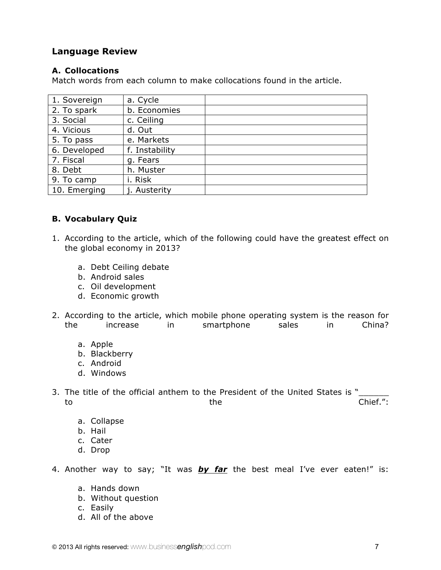### **Language Review**

#### **A. Collocations**

Match words from each column to make collocations found in the article.

| a. Cycle       |  |
|----------------|--|
| b. Economies   |  |
| c. Ceiling     |  |
| d. Out         |  |
| e. Markets     |  |
| f. Instability |  |
| g. Fears       |  |
| h. Muster      |  |
| i. Risk        |  |
| j. Austerity   |  |
|                |  |

#### **B. Vocabulary Quiz**

- 1. According to the article, which of the following could have the greatest effect on the global economy in 2013?
	- a. Debt Ceiling debate
	- b. Android sales
	- c. Oil development
	- d. Economic growth
- 2. According to the article, which mobile phone operating system is the reason for the increase in smartphone sales in China?
	- a. Apple
	- b. Blackberry
	- c. Android
	- d. Windows
- 3. The title of the official anthem to the President of the United States is " to the Chief.":
	- a. Collapse
	- b. Hail
	- c. Cater
	- d. Drop

4. Another way to say; "It was *by far* the best meal I've ever eaten!" is:

- a. Hands down
- b. Without question
- c. Easily
- d. All of the above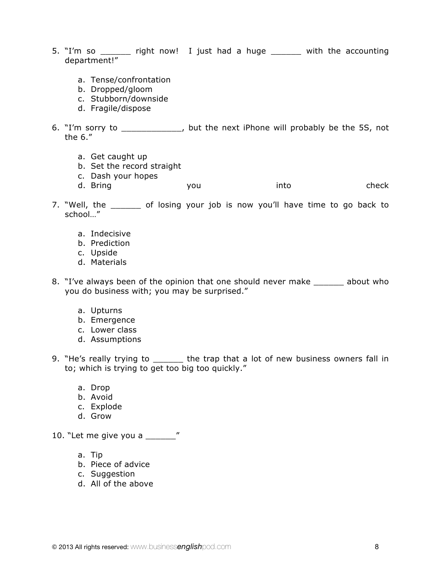- 5. "I'm so \_\_\_\_\_\_ right now! I just had a huge \_\_\_\_\_\_ with the accounting department!"
	- a. Tense/confrontation
	- b. Dropped/gloom
	- c. Stubborn/downside
	- d. Fragile/dispose
- 6. "I'm sorry to \_\_\_\_\_\_\_\_\_\_\_\_, but the next iPhone will probably be the 5S, not the 6."
	- a. Get caught up
	- b. Set the record straight
	- c. Dash your hopes
	- d. Bring you into check
- 7. "Well, the \_\_\_\_\_\_ of losing your job is now you'll have time to go back to school…"
	- a. Indecisive
	- b. Prediction
	- c. Upside
	- d. Materials
- 8. "I've always been of the opinion that one should never make \_\_\_\_\_\_ about who you do business with; you may be surprised."
	- a. Upturns
	- b. Emergence
	- c. Lower class
	- d. Assumptions
- 9. "He's really trying to \_\_\_\_\_\_\_ the trap that a lot of new business owners fall in to; which is trying to get too big too quickly."
	- a. Drop
	- b. Avoid
	- c. Explode
	- d. Grow
- 10. "Let me give you a \_\_\_\_\_\_ "
	- a. Tip
	- b. Piece of advice
	- c. Suggestion
	- d. All of the above